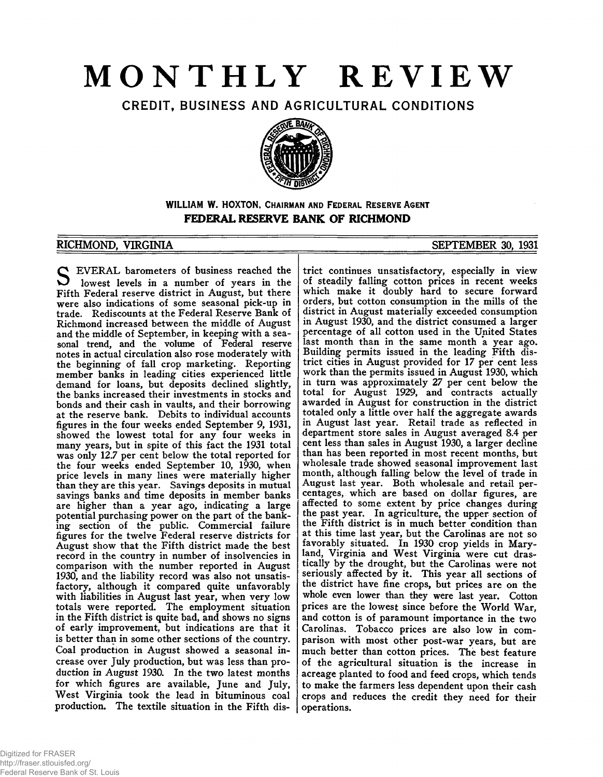# **MONTHLY REVIEW**

CREDIT, BUSINESS AND AGRICULTURAL CONDITIONS



**WILLIAM W. HOXTON, CHAIRMAN AND FEDERAL RESERVE AGENT FEDERAL RESERVE BANK OF RICHMOND**

## RICHMOND, VIRGINIA SEPTEMBER 30, 1931

**S** EVERAL barometers of business reached the<br>lowest levels in a number of years in the<br>Eifth Federal recours district in August but there lowest levels in a number of years in the Fifth Federal reserve district in August, but there were also indications of some seasonal pick-up in trade. Rediscounts at the Federal Reserve Bank of Richmond increased between the middle of August and the middle of September, in keeping with a seasonal trend, and the volume of Federal reserve notes in actual circulation also rose moderately with the beginning of fall crop marketing. Reporting member banks in leading cities experienced little demand for loans, but deposits declined slightly, the banks increased their investments in stocks and bonds and their cash in vaults, and their borrowing at the reserve bank. Debits to individual accounts figures in the four weeks ended September 9, 1931, showed the lowest total for any four weeks in many years, but in spite of this fact the 1931 total was only 12.7 per cent below the total reported for the four weeks ended September 10, 1930, when price levels in many lines were materially higher than they are this year. Savings deposits in mutual savings banks and time deposits in member banks are higher than a year ago, indicating a large potential purchasing power on the part of the banking section of the public. Commercial failure figures for the twelve Federal reserve districts for August show that the Fifth district made the best record in the country in number of insolvencies in comparison with the number reported in August 1930, and the liability record was also not unsatisfactory, although it compared quite unfavorably with liabilities in August last year, when very low totals were reported. The employment situation in the Fifth district is quite bad, and shows no signs of early improvement, but indications are that it is better than in some other sections of the country. Coal production in August showed a seasonal increase over July production, but was less than production in August 1930. In the two latest months for which figures are available, June and July, West Virginia took the lead in bituminous coal production. The textile situation in the Fifth dis-

trict continues unsatisfactory, especially in view of steadily falling cotton prices in recent weeks which make it doubly hard to secure forward orders, but cotton consumption in the mills of the district in August materially exceeded consumption in August 1930, and the district consumed a larger percentage of all cotton used in the United States last month than in the same month *a* year ago. Building permits issued in the leading Fifth district cities in August provided for 17 per cent less work than the permits issued in August 1930, which in turn was approximately 27 per cent below the total for August 1929, and contracts actually awarded in August for construction in the district totaled only a little over half the aggregate awards in August last year. Retail trade as reflected in department store sales in August averaged 8.4 per cent less than sales in August 1930, a larger decline than has been reported in most recent months, but wholesale trade showed seasonal improvement last month, although falling below the level of trade in August last year. Both wholesale and retail percentages, which are based on dollar figures, are affected to some extent by price changes during the past year. In agriculture, the upper section of the Fifth district is in much better condition than at this time last year, but the Carolinas are not so favorably situated. In 1930 crop yields in Maryland, Virginia and West Virginia were cut drastically by the drought, but the Carolinas were not seriously affected by it. This year all sections of the district have fine crops, but prices are on the whole even lower than they were last year. Cotton prices are the lowest since before the World War, and cotton is of paramount importance in the two Carolinas. Tobacco prices are also low in comparison with most other post-war years, but are much better than cotton prices. The best feature of the agricultural situation is the increase in acreage planted to food and feed crops, which tends to make the farmers less dependent upon their cash crops and reduces the credit they need for their operations.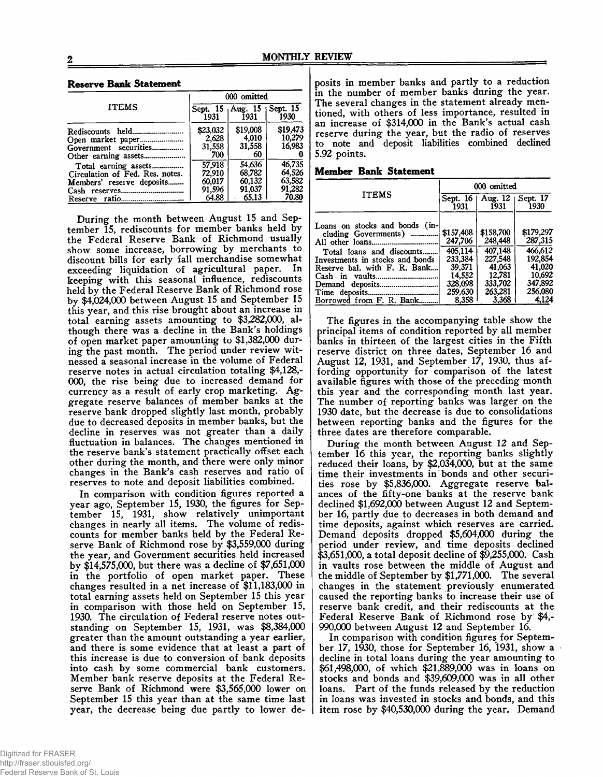#### **Reserve Bank Statement**

|                                                                                                                                                      | 000 omitted                                   |                                               |                                               |  |
|------------------------------------------------------------------------------------------------------------------------------------------------------|-----------------------------------------------|-----------------------------------------------|-----------------------------------------------|--|
| <b>ITEMS</b>                                                                                                                                         | 1931                                          | Sept. 15 Aug. 15   Sept. 15<br>1931           | 1930                                          |  |
| Rediscounts held<br>Government securities                                                                                                            | \$23,032<br>2,628<br>31,558<br>700            | \$19,008<br>4,010<br>31,558<br>60             | \$19,473<br>10,279<br>16.983                  |  |
| Total earning assets<br>Circulation of Fed. Res. notes.<br>Members' reserve deposits<br>Cash reserves.<br>-------------------------<br>Reserve ratio | 57,918<br>72,910<br>60,017<br>91,596<br>64.88 | 54,636<br>68.782<br>60.132<br>91.037<br>65.13 | 46,735<br>64,526<br>63,582<br>91,282<br>70.80 |  |

During the month between August 15 and September 15, rediscounts for member banks held by the Federal Reserve Bank of Richmond usually show some increase, borrowing by merchants to discount bills for early fall merchandise somewhat exceeding liquidation of agricultural paper. In keeping with this seasonal influence, rediscounts held by the Federal Reserve Bank of Richmond rose by \$4,024,000 between August 15 and September 15 this year, and this rise brought about an increase in total earning assets amounting to \$3,282,000, although there was a decline in the Bank's holdings of open market paper amounting to \$1,382,000 during the past month. The period under review witnessed a seasonal increase in the volume of Federal reserve notes in actual circulation totaling \$4,128,- 000, the rise being due to increased demand for currency as a result of early crop marketing. Aggregate reserve balances of member banks at the reserve bank dropped slightly last month, probably due to decreased deposits in member banks, but the decline in reserves was not greater than a daily fluctuation in balances. The changes mentioned in the reserve bank's statement practically offset each other during the month, and there were only minor changes in the Bank's cash reserves and ratio of reserves to note and deposit liabilities combined.

In comparison with condition figures reported a year ago, September 15, 1930, the figures for September 15, 1931, show relatively unimportant changes in nearly all items. The volume of rediscounts for member banks held by the Federal Reserve Bank of Richmond rose by \$3,559,000 during the year, and Government securities held increased by \$14,575,000, but there was a decline of \$7,651,000 in the portfolio of open market paper. These changes resulted in a net increase of \$11,183,000 in total earning assets held on September 15 this year in comparison with those held on September 15, 1930. The circulation of Federal reserve notes outstanding on September 15, 1931, was \$8,384,000 greater than the amount outstanding a year earlier, and there is some evidence that at least a part of this increase is due to conversion of bank deposits into cash by some commercial bank customers. Member bank reserve deposits at the Federal Reserve Bank of Richmond were \$3,565,000 lower on September 15 this year than at the same time last year, the decrease being due partly to lower de-

posits in member banks and partly to a reduction in the number of member banks during the year. The several changes in the statement already mentioned, with others of less importance, resulted in an increase of \$314,000 in the Bank's actual cash reserve during the year, but the radio of reserves to note and deposit liabilities combined declined 5.92 points.

**Member Bank Statement**

|                                                                                     | 000 omitted                     |                                       |                                 |  |
|-------------------------------------------------------------------------------------|---------------------------------|---------------------------------------|---------------------------------|--|
| <b>ITEMS</b>                                                                        | 1931                            | Sept. 16   Aug. 12   Sept. 17<br>1931 | 1930                            |  |
| Loans on stocks and bonds (in-<br>cluding Governments)<br>Total loans and discounts | \$157,408<br>247,706<br>405,114 | \$158,700<br>248,448<br>407.148       | \$179.297<br>287,315<br>466.612 |  |
| Investments in stocks and bonds<br>Reserve bal. with F. R. Bank                     | 233.384<br>39,371<br>14.552     | 227,548<br>41,063<br>12.781           | 192.854<br>41,020<br>10,692     |  |
| Demand deposits<br>Borrowed from F. R. Bank.                                        | 328,098<br>259,630<br>8.358     | 333,702<br>263,281<br>3.368           | 347,892<br>256,080<br>4,124     |  |

The figures in the accompanying table show the principal items of condition reported by all member banks in thirteen of the largest cities in the Fifth reserve district on three dates, September 16 and August 12, 1931, and September 17, 1930, thus affording opportunity for comparison of the latest available figures with those of the preceding month this year and the corresponding month last year. The number of reporting banks was larger on the 1930 date, but the decrease is due to consolidations between reporting banks and the figures for the three dates are therefore comparable.

During the month between August 12 and September 16 this year, the reporting banks slightly reduced their loans, by \$2,034,000, but at the same time their investments in bonds and other securities rose by \$5,836,000. Aggregate reserve balances of the fifty-one banks at the reserve bank declined \$1,692,000 between August 12 and September 16, partly due to decreases in both demand and time deposits, against which reserves are carried. Demand deposits dropped \$5,604,000 during the period under review, and time deposits declined \$3,651,000, a total deposit decline of \$9,255,000. Cash in vaults rose between the middle of August and the middle of September by \$1,771,000. The several changes in the statement previously enumerated caused the reporting banks to increase their use of reserve bank credit, and their rediscounts at the Federal Reserve Bank of Richmond rose by \$4,- 990,000 between August 12 and September 16.

In comparison with condition figures for September 17, 1930, those for September 16, 1931, show a decline in total loans during the year amounting to \$61,498,000, of which \$21,889,000 was in loans on stocks and bonds and \$39,609,000 was in all other loans. Part of the funds released by the reduction in loans was invested in stocks and bonds, and this item rose by \$40,530,000 during the year. Demand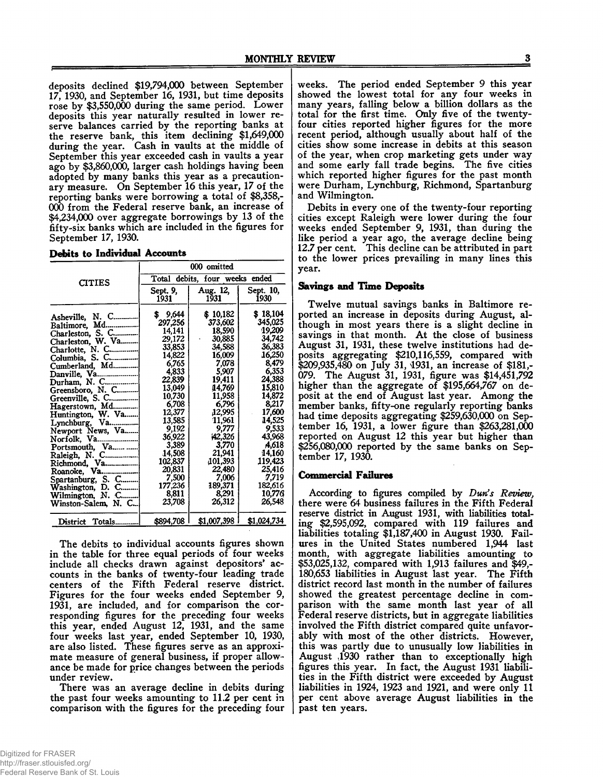deposits declined \$19,794,000 between September 17, 1930, and September 16, 1931, but time deposits rose by \$3,550,000 during the same period. Lower deposits this year naturally resulted in lower reserve balances carried by the reporting banks at the reserve bank, this item declining \$1,649,000 during the year. Cash in vaults at the middle of September this year exceeded cash in vaults a year ago by \$3,860,000, larger cash holdings having been adopted by many banks this year as a precautionary measure. On September 16 this year, 17 of the reporting banks were borrowing a total of \$8,358,- 000 from the Federal reserve bank, an increase of \$4,234,000 over aggregate borrowings by 13 of the fifty-six banks which are included in the figures for September 17, 1930.

|  | Debits to Individual Accounts |  |
|--|-------------------------------|--|
|  |                               |  |

|                                                                                                                                                                                                                                                                                                                                                                                 | 000 omitted                                                                                                                                                                                                                                   |                                                                                                                                                                                                                                               |                                                                                                                                                                                                                                             |  |
|---------------------------------------------------------------------------------------------------------------------------------------------------------------------------------------------------------------------------------------------------------------------------------------------------------------------------------------------------------------------------------|-----------------------------------------------------------------------------------------------------------------------------------------------------------------------------------------------------------------------------------------------|-----------------------------------------------------------------------------------------------------------------------------------------------------------------------------------------------------------------------------------------------|---------------------------------------------------------------------------------------------------------------------------------------------------------------------------------------------------------------------------------------------|--|
| <b>CITIES</b>                                                                                                                                                                                                                                                                                                                                                                   | Total debits, four weeks ended                                                                                                                                                                                                                |                                                                                                                                                                                                                                               |                                                                                                                                                                                                                                             |  |
|                                                                                                                                                                                                                                                                                                                                                                                 | Sept. 9,<br>1931                                                                                                                                                                                                                              | Aug. 12,<br>1931                                                                                                                                                                                                                              | Sept. 10,<br>1930                                                                                                                                                                                                                           |  |
| Asheville, N. C<br>Baltimore, Md<br>Charleston, S. C<br>Charleston, W. Va<br>Charlotte, N. C<br>Columbia, S. C<br>Cumberland, Md<br>Danville, Va<br>Durham, N. C<br>Greensboro, N. C<br>Lynchburg, Va<br>Newport News, Va<br>Norfolk, Va<br>Portsmouth, Va<br>Raleigh, N. C<br>Richmond, Va<br>Spartanburg, S. C<br>Washington, D. C<br>Wilmington, N. C<br>Winston-Salem, N. C | 9,644<br>Ŝ.<br>297,256<br>14,141<br>29,172<br>33,853<br>14,822<br>6,765<br>4,833<br>22,839<br>13,049<br>10,730<br>6,708<br>12,377<br>13,585<br>9,192<br>36,922<br>3,389<br>14,508<br>102,837<br>20,831<br>7,500<br>177,236<br>8,811<br>23,708 | \$10,182<br>373,602<br>18,590<br>30,885<br>34,588<br>16,009<br>7,078<br>5,907<br>19,411<br>14,769<br>11,958<br>6.796<br>12,995<br>11,961<br>9,777<br>42,326<br>3,770<br>21,941<br>(101, 393)<br>22,480<br>7,006<br>189,371<br>8,291<br>26,312 | \$18,104<br>345,025<br>19,209<br>34,742<br>36,383<br>16,250<br>8,479<br>6,353<br>24,388<br>15,810<br>14,872<br>8.217<br>17,600<br>14,525<br>9,533<br>43,968<br>A,618<br>14,160<br>119,423<br>25,416<br>7,719<br>182,616<br>10,776<br>26.548 |  |
| District Totals                                                                                                                                                                                                                                                                                                                                                                 | \$894,708                                                                                                                                                                                                                                     | \$1,007,398                                                                                                                                                                                                                                   | \$1,024,734                                                                                                                                                                                                                                 |  |

The debits to individual accounts figures shown in the table for three equal periods of four weeks include all checks drawn against depositors' accounts in the banks of twenty-four leading trade centers of the Fifth Federal reserve district. Figures for the four weeks ended September 9, 1931, are included, and for comparison the corresponding figures for the preceding four weeks this year, ended August 12, 1931, and the same four weeks last year, ended September 10, 1930, are also listed. These figures serve as an approximate measure of general business, if proper allowance be made for price changes between the periods under review.

There was an average decline in debits during the past four weeks amounting to 11.2 per cent in comparison with the figures for the preceding four weeks. The period ended September 9 this year showed the lowest total for any four weeks in many years, falling below a billion dollars as the total for the first time. Only five of the twentyfour cities reported higher figures for the more recent period, although usually about half of the cities show some increase in debits at this season of the year, when crop marketing gets under way and some early fall trade begins. The five cities which reported higher figures for the past month were Durham, Lynchburg, Richmond, Spartanburg and Wilmington.

Debits in every one of the twenty-four reporting cities except Raleigh were lower during the four weeks ended September 9, 1931, than during the like period a year ago, the average decline being 12.7 per cent. This decline can be attributed in part to the lower prices prevailing in many lines this year.

#### **Savings and Time Deposits**

Twelve mutual savings banks in Baltimore reported an increase in deposits during August, although in most years there is a slight decline in savings in that month. At the close of business August 31, 1931, these twelve institutions had deposits aggregating \$210,116,559, compared with \$209,935,480 on July 31, 4931, an increase of \$181,- 079. The August 31, 1931, figure was \$14,451,792 higher than the aggregate of \$195,664,767 on deposit at the end of August last year. Among the member banks, fifty-one regularly reporting banks had time deposits aggregating \$259,630,000 on September 16, 1931, a lower figure than \$263,281,000 reported on August 12 this year but higher than \$256,080,000 reported by the same banks on September 17, 1930.

## **Commercial Failures**

According to figures compiled by *Dun's Review,* there were 64 business failures in the Fifth Federal reserve district in August 1931, with liabilities totaling \$2,595,092, compared with 119 failures and liabilities totaling \$1,187,400 in August 1930. Failures in the United States numbered 1,944 last month, with aggregate liabilities amounting to \$53,025,132, compared with 1,913 failures and \$49,- 180,653 liabilities in August last year. The Fifth district record last month in the number of failures showed the greatest percentage decline in comparison with the same month last year of all Federal reserve districts, but in aggregate liabilities involved the Fifth district compared quite unfavorably with most of the other districts. However, this was partly due to unusually low liabilities in August ,1930 rather than to exceptionally high figures this year. In fact, the August 1931 liabilities in the Fifth district were exceeded by August liabilities in 1924, 1923 and 1921, and were only 11 per cent above average August liabilities in the past ten years.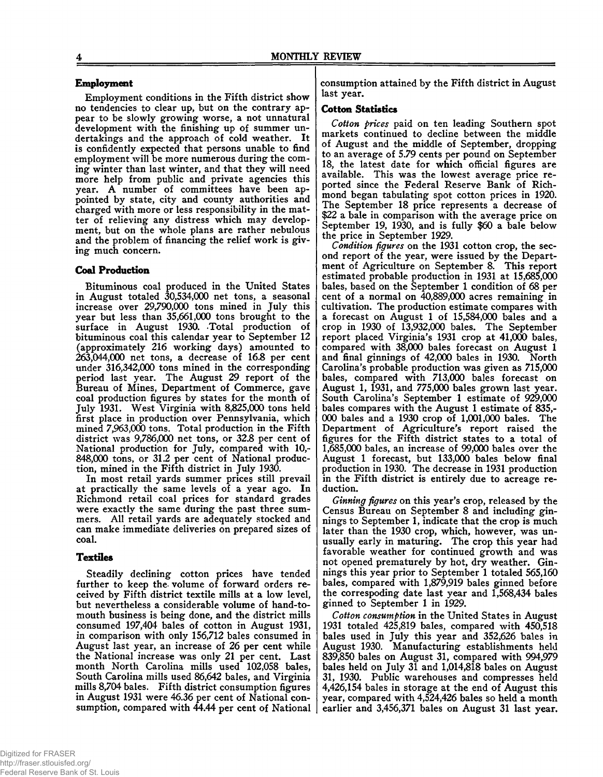## **Employment**

Employment conditions in the Fifth district show no tendencies to clear up, but on the contrary appear to be slowly growing worse, a not unnatural development with the finishing up of summer undertakings and the approach of cold weather. It is confidently expected that persons unable to find employment will be more numerous during the coming winter than last winter, and that they will need more help from public and private agencies this year. A number of committees have been appointed by state, city and county authorities and charged with more or less responsibility in the matter of relieving any distress which may development, but on the whole plans are rather nebulous and the problem of financing the relief work is giving much concern.

## **Coal Production**

Bituminous coal produced in the United States in August totaled 30,534,000 net tons, a seasonal increase over 29,790,000 tons mined in July this year but less than 35,661,000 tons brought to the surface in August 1930. Total production of bituminous coal this calendar year to September 12 (approximately 216 working days) amounted to 263.044.000 net tons, a decrease of 16.8 per cent under 316,342,000 tons mined in the corresponding period last year. The August 29 report of the Bureau of Mines, Department of Commerce, gave coal production figures by states for the month of July 1931. West Virginia with 8,825,000 tons held first place in production over Pennsylvania, which mined 7,963,000 tons. Total production in the Fifth district was 9,786,000 net tons, or 32.8 per cent of National production for July, compared with 10,- 848.000 tons, or 31.2 per cent of National production, mined in the Fifth district in July 1930.

In most retail yards summer prices still prevail at practically the same levels of a year ago. In Richmond retail coal prices for standard grades were exactly the same during the past three summers. All retail yards are adequately stocked and can make immediate deliveries on prepared sizes of coal.

#### **Textiles**

Steadily declining cotton prices have tended further to keep the volume of forward orders received by Fifth district textile mills at a low level, but nevertheless a considerable volume of hand-tomouth business is being done, and the district mills consumed 197,404 bales of cotton in August 1931, in comparison with only 156,712 bales consumed in August last year, an increase of 26 per cent while the National increase was only 21 per cent. Last month North Carolina mills used 102,058 bales, South Carolina mills used 86,642 bales, and Virginia mills 8,704 bales. Fifth district consumption figures in August 1931 were 46.36 per cent of National consumption, compared with 44.44 per cent of National

#### **Cotton Statistics**

*Cotton prices* paid on ten leading Southern spot markets continued to decline between the middle of August and the middle of September, dropping to an average of 5.79 cents per pound on September 18, the latest date for which official figures are available. This was the lowest average price reported since the Federal Reserve Bank of Richmond began tabulating spot cotton prices in 1920. The September 18 price represents a decrease of \$22 a bale in comparison with the average price on September 19, 1930, and is fully \$60 a bale below the price in September 1929.

*Condition figures* on the 1931 cotton crop, the second report of the year, were issued by the Department of Agriculture on September 8. This report estimated probable production in 1931 at 15,685,000 bales, based on the September 1 condition of 68 per cent of a normal on 40,889,000 acres remaining in cultivation. The production estimate compares with a forecast on August 1 of 15,584,000 bales and a crop in 1930 of 13,932,000 bales. The September report placed Virginia's 1931 crop at 41,000 bales, compared with 38,000 bales forecast on August 1 and final ginnings of 42,000 bales in 1930. North Carolina's probable production was given as 715,000 bales, compared with 713,000 bales forecast on August 1, 1931, and 775,000 bales grown last year. South Carolina's September 1 estimate of 929,000 bales compares with the August 1 estimate of 835,- 000 bales and a 1930 crop of 1,001,000 bales. The Department of Agriculture's report raised the figures for the Fifth district states to a total of 1,685,000 bales, an increase of 99,000 bales over the August 1 forecast, but 133,000 bales below final production in 1930. The decrease in 1931 production in the Fifth district is entirely due to acreage reduction.

*Ginning figures* on this year's crop, released by the Census Bureau on September 8 and including ginnings to September 1, indicate that the crop is much later than the 1930 crop, which, however, was unusually early in maturing. The crop this year had favorable weather for continued growth and was not opened prematurely by hot, dry weather. Ginnings this year prior to September 1 totaled 565,160 bales, compared with 1,879,919 bales ginned before the correspoding date last year and 1,568,434 bales ginned to September 1 in 1929.

*Cotton consumption* in the United States in August 1931 totaled 425,819 bales, compared with 450,518 bales used in July this year and 352,626 bales in August 1930. Manufacturing establishments held 839,850 bales on August 31, compared with 994,979 bales held on July 31 and 1,014,818 bales on August 31, 1930. Public warehouses and compresses held 4,426,154 bales in storage at the end of August this year, compared with 4,524,426 bales so held a month earlier and 3,456,371 bales on August 31 last year.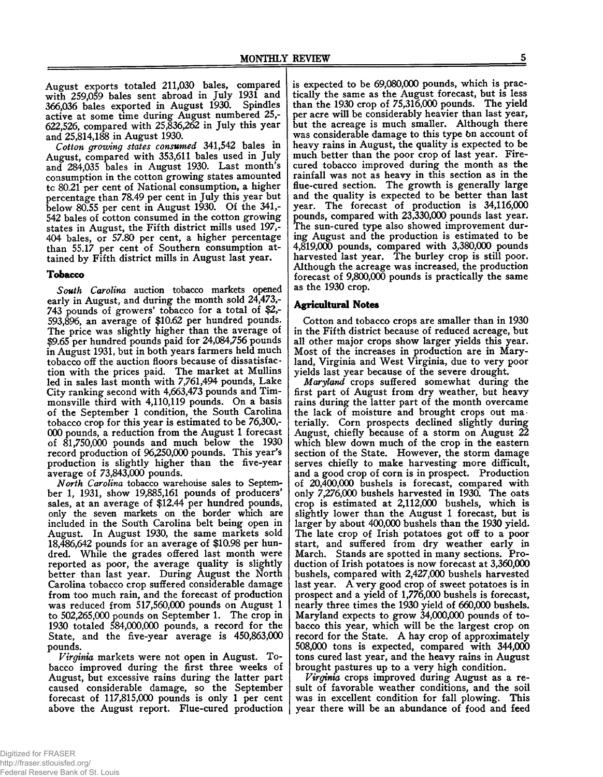August exports totaled 211,030 bales, compared with 259,059 bales sent abroad in July 1931 and 366,036 bales exported in August 1930. Spindles active at some time during August numbered 25,- 622,526, compared with 25,836,262 in July this year and 25,814,188 in August 1930.

*Cotton growing states consumed* 341,542 bales in August, compared with 353,611 bales used in July and 284,035 bales in August 1930. Last month's consumption in the cotton growing states amounted tc 80.21 per cent of National consumption, a higher percentage than 78.49 per cent in July this year but below 80.55 per cent in August 1930. Of the 341,- 542 bales of cotton consumed in the cotton growing states in August, the Fifth district mills used 197,- 404 bales, or 57.80 per cent, a higher percentage than 55.17 per cent of Southern consumption attained by Fifth district mills in August last year.

## **Tobacco**

*South Carolina* auction tobacco markets opened early in August, and during the month sold 24,473,- 743 pounds of growers' tobacco for a total of \$2,- 593,896, an average of \$10.62 per hundred pounds. The price was slightly higher than the average of \$9.65 per hundred pounds paid for 24,084,756 pounds in August 1931, but in both years farmers held much tobacco off the auction floors because of dissatisfaction with the prices paid. The market at Mullins led in sales last month with 7,761,494 pounds, Lake City ranking second with 4,663,473 pounds and Timmonsville third with 4,110,119 pounds. On a basis of the September 1 condition, the South Carolina tobacco crop for this year is estimated to be 76,300,- 000 pounds, a reduction from the August 1 forecast of 81,750,000 pounds and much below the 1930 record production of 96,250,000 pounds. This year's production is slightly higher than the five-year average of 73,843,000 pounds.

*North Carolina* tobacco warehouse sales to September 1, 1931, show 19,885,161 pounds of producers' sales, at an average of \$12.44 per hundred pounds, only the seven markets on the border which are included in the South Carolina belt being open in August. In August 1930, the same markets sold 18,486,642 pounds for an average of \$10.98 per hundred. While the grades offered last month were reported as poor, the average quality is slightly better than last year. During August the North Carolina tobacco crop suffered considerable damage from too much rain, and the forecast of production was reduced from 517,560,000 pounds on August 1 to 502,265,000 pounds on September 1. The crop in 1930 totaled 584,000,000 pounds, a record for the State, and the five-year average is 450,863,000 pounds.

*Virginia* markets were not open in August. Tobacco improved during the first three weeks of August, but excessive rains during the latter part caused considerable damage, so the September forecast of 117,815,000 pounds is only 1 per cent above the August report. Flue-cured production

is expected to be 69,080,000 pounds, which is practically the same as the August forecast, but is less than the 1930 crop of 75,316,000 pounds. The yield per acre will be considerably heavier than last year, but the acreage is much smaller. Although there was considerable damage to this type bn account of heavy rains in August, the quality is expected to be much better than the poor crop of last year. Firecured tobacco improved during the month as the rainfall was not as heavy in this section as in the flue-cured section. The growth is generally large and the quality is expected to be better than last year. The forecast of production is 34,116,000 pounds, compared with 23,330,000 pounds last year. The sun-cured type also showed improvement during August and the production is estimated to be 4.819.000 pounds, compared with 3,380,000 pounds harvested last year. The burley crop is still poor. Although the acreage was increased, the production forecast of 9,800,000 pounds is practically the same as the 1930 crop.

## **Agricultural Notes**

Cotton and tobacco crops are smaller than in 1930 in the Fifth district because of reduced acreage, but all other major crops show larger yields this year. Most of the increases in production are in Maryland, Virginia and West Virginia, due to very poor yields last year because of the severe drought.

*Maryland* crops suffered somewhat during the first part of August from dry weather, but heavy rains during the latter part of the month overcame the lack of moisture and brought crops out materially. Corn prospects declined slightly during August, chiefly because of a storm on August 22 which blew down much of the crop in the eastern section of the State. However, the storm damage serves chiefly to make harvesting more difficult, and a good crop of corn is in prospect. Production of 20,400,000 bushels is forecast, compared with only 7,276,000 bushels harvested in 1930. The oats crop is estimated at 2,112,000 bushels, which is slightly lower than the August 1 forecast, but is larger by about 400,000 bushels than the 1930 yield. The late crop of Irish potatoes got off to a poor start, and suffered from dry weather early in March. Stands are spotted in many sections. Production of Irish potatoes is now forecast at 3,360,000 bushels, compared with 2,427,000 bushels harvested last year. A very good crop of sweet potatoes is in prospect and a yield of 1,776,000 bushels is forecast, nearly three times the 1930 yield of 660,000 bushels. Maryland expects to grow 34,000,000 pounds of tobacco this year, which will be the largest crop on record for the State. A hay crop of approximately 508.000 tons is expected, compared with 344,000 tons cured last year, and the heavy rains in August brought pastures up to a very high condition.

*Virginia* crops improved during August as a result of favorable weather conditions, and the soil was in excellent condition for fall plowing. This year there will be an abundance of food and feed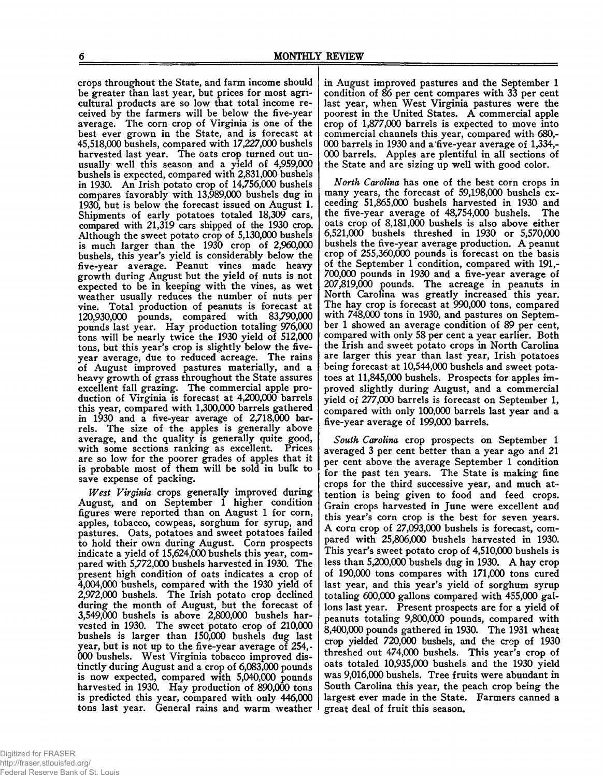crops throughout the State, and farm income should be greater than last year, but prices for most agricultural products are so low that total income received by the farmers will be below the five-year average. The corn crop of Virginia is one of the best ever grown in the State, and is forecast at 45.518.000 bushels, compared with 17,227,000 bushels harvested last year. The oats crop turned out unusually well this season and a yield of 4,959,000 bushels is expected, compared with 2,831,000 bushels in 1930. An Irish potato crop of 14,756,000 bushels compares favorably with 13,989,000 bushels dug in 1930, but is below the forecast issued on August 1. Shipments of early potatoes totaled 18,309 cars, compared with 21,319 cars shipped of the 1930 crop. Although the sweet potato crop of 5,130,000 bushels is much larger than the 1930 crop of 2,960,000 bushels, this year's yield is considerably below the five-year average. Peanut vines made heavy growth during August but the yield of nuts is not expected to be in keeping with the vines, as wet weather usually reduces the number of nuts per vine. Total production of peanuts is forecast at 120.930.000 pounds, compared with 83,790,000 pounds last year. Hay production totaling 976,000 tons will be nearly twice the 1930 yield of 512,000 tons, but this year's crop is slightly below the fiveyear average, due to reduced acreage. The rains of August improved pastures materially, and a heavy growth of grass throughout the State assures excellent fall grazing. The commercial apple production of Virginia is forecast at 4,200,000 barrels this year, compared with 1,300,000 barrels gathered in 1930 and a five-year average of 2,718,000 barrels. The size of the apples is generally above average, and the quality is generally quite good, with some sections ranking as excellent. Prices are so low for the poorer grades of apples that it is probable most of them will be sold in bulk to save expense of packing.

*West Virginia* crops generally improved during August, and on September 1 higher condition figures were reported than on August 1 for corn, apples, tobacco, cowpeas, sorghum for syrup, and pastures. Oats, potatoes and sweet potatoes failed to hold their own during August. Corn prospects indicate a yield of 15,624,000 bushels this year, compared with 5,772,000 bushels harvested in 1930. The present high condition of oats indicates a crop of 4.004.000 bushels, compared with the 1930 yield of 2.972.000 bushels. The Irish potato crop declined during the month of August, but the forecast of 3.549.000 bushels is above 2,800,000 bushels harvested in 1930. The sweet potato crop of 210,000 bushels is larger than 150,000 bushels dug last year, but is not up to the five-year average of 254,- 000 bushels. West Virginia tobacco improved distinctly during August and a crop of 6,083,000 pounds is now expected, compared with 5,040,000 pounds harvested in 1930. Hay production of 890,000 tons is predicted this year, compared with only 446,000 tons last year. General rains and warm weather

in August improved pastures and the September 1 condition of *86* per cent compares with 33 per cent last year, when West Virginia pastures were the poorest in the United States. A commercial apple crop of 1,877,000 barrels is expected to move into commercial channels this year, compared with 680,- 000 barrels in 1930 and a five-year average of 1,334,- 000 barrels. Apples are plentiful in all sections of the State and are sizing up well with good color.

*North Carolina* has one of the best corn crops in many years, the forecast of 59,198,000 bushels exceeding 51,865,000 bushels harvested in 1930 and the five-year average of 48,754,000 bushels. The oats crop of 8,181,000 bushels is also above either 6.521.000 bushels threshed in 1930 or 5,570,000 bushels the five-year average production. A peanut crop of 255,360,000 pounds is forecast on the basis of the September 1 condition, compared with 191,- 700.000 pounds in 1930 and a five-year average of 207.819.000 pounds. The acreage in peanuts in North Carolina was greatly increased this year. The hay crop is forecast at 990,000 tons, compared with 748,000 tons in 1930, and pastures on September 1 showed an average condition of 89 per cent, compared with only 58 per cent a year earlier. Both the Irish and sweet potato crops in North Carolina are larger this year than last year, Irish potatoes being forecast at 10,544,000 bushels and sweet potatoes at 11,845,000 bushels. Prospects for apples improved slightly during August, and a commercial yield of 277,000 barrels is forecast on September 1, compared with only 100,000 barrels last year and a five-year average of 199,000 barrels.

*South Carolina* crop prospects on September 1 averaged 3 per cent better than a year ago and 21 per cent above the average September 1 condition for the past ten years. The State is making fine crops for the third successive year, and much attention is being given to food and feed crops. Grain crops harvested in June were excellent and this year's corn crop is the best for seven years. A corn crop of 27,093,000 bushels is forecast, compared with 25,806,000 bushels harvested in 1930. This year's sweet potato crop of 4,510,000 bushels is less than 5,200,000 bushels dug in 1930. A hay crop of 190,000 tons compares with 171,000 tons cured last year, and this year's yield of sorghum syrup totaling 600,000 gallons compared with 455,000 gallons last year. Present prospects are for a yield of peanuts totaling 9,800,000 pounds, compared with 8.400.000 pounds gathered in 1930. The 1931 wheat crop *yielded* 720,000 bushels, and the crop of 1930 threshed out 474,000 bushels. This year's crop of oats totaled 10,935,000 bushels and the 1930 yield was 9,016,000 bushels. Tree fruits were abundant in South Carolina this year, the peach crop being the largest ever made in the State. Farmers canned a great deal of fruit this season.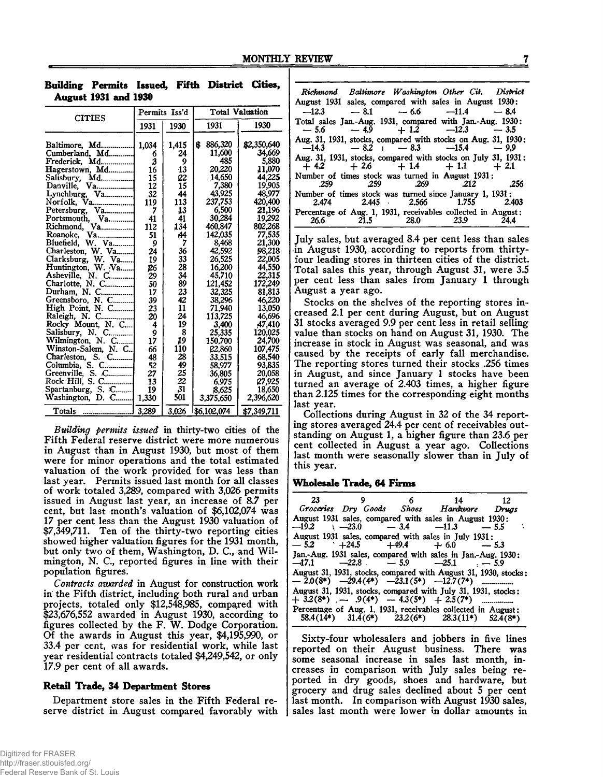| Building Permits Issued, Fifth District Cities, |                             |  |  |
|-------------------------------------------------|-----------------------------|--|--|
|                                                 | <b>August 1931 and 1930</b> |  |  |

| <b>CITIES</b>                  | Permits Iss'd |       | <b>Total Valuation</b> |             |  |
|--------------------------------|---------------|-------|------------------------|-------------|--|
|                                | 1931          | 1930  | 1931                   | 1930        |  |
| Baltimore, Md                  | 1,034         | 1,415 | 886,320<br>\$          | \$2,350,640 |  |
| Cumberland, Md                 | 6             | 24    | 11.600                 | 34,669      |  |
| Frederick, Md                  | З             | 9     | 485                    | 5,880       |  |
| Hagerstown, Md                 | 16            | 13    | 20,220                 | 11,070      |  |
| Md<br>Salisbury,               | 15            | 22    | 14,650                 | 44,225      |  |
| Va<br>Danville.                | 12            | 15    | 7,380                  | 19,905      |  |
| Va<br>Lynchburg,               | 32            | 44    | 43,925                 | 48,977      |  |
| Norfolk, Va                    | 119           | 113   | 237,753                | 420,400     |  |
| Petersburg, Va                 | 7             | 13    | 6,500                  | 21,196      |  |
| Portsmouth, Va<br>Richmond, Va | 41            | 41    | 30,284                 | 19,292      |  |
|                                | 112           | 134   | 460,847                | 802,268     |  |
| Va<br>Roanoke,                 | 51            | 44    | 142,035                | 77.535      |  |
| Bluefield, W. Va               | 9             | 7     | 8,468                  | 21,300      |  |
| Charleston, W. Va              | 24            | 36    | 42,592                 | 98,218      |  |
| Clarksburg, W. Va              | 19            | 33    | 26,525                 | 22,005      |  |
| Huntington, W. Va              | 26            | 28    | 16,200                 | 44,550      |  |
| Asheville, N. C                | 29            | 34    | 45,710                 | 22,315      |  |
| Charlotte, N. C                | 50            | 89    | 121,452                | 172,249     |  |
| Durham, N. C.                  | 17            | 23    | 32,325                 | 81,813      |  |
| Greensboro, N. C               | 39            | 42    | 38,296                 | 46,220      |  |
| High Point, N. C               | 23            | 11    | 71,940<br>113,725      | 13,050      |  |
| Raleigh, N. C                  | 20            | 24    |                        | 46,696      |  |
| Rocky Mount, N. C              | 4             | 19    | 3,400                  | 47,410      |  |
| Salisbury, N. C.               |               | 8     | 25,335                 | 120,025     |  |
| Wilmington, N. C               | و<br>17       | 19    | 150.700                | 24.700      |  |
| Winston-Salem, N. C            | 66            | 110   | 22,860                 | 107,475     |  |
| Charleston, S.<br>$C_{\ldots}$ | 48            | 28    | 33.515                 | 68,540      |  |
| Columbia, S. C                 | 52            | 49    | 58,977                 | 93,835      |  |
| Greenville, S. C               | 27            | 25    | 36,805                 | 20.058      |  |
| Rock Hill, S. C                | 13            | 22    | 6.975                  | 27,925      |  |
| Spartanburg, S. C              | 19            | 31    | 8,625                  | 18,650      |  |
| Washington, D. C               | 1,330         | 501   | 3,375,650              | 2,396,620   |  |
| Totals                         | 3,289         | 3,026 | 1\$6,102,074           | \$7,349,711 |  |

*Building permits issued* in thirty-two cities of the Fifth Federal reserve district were more numerous in August than in August 1930, but most of them were for minor operations and the total estimated valuation of the work provided for was less than last year. Permits issued last month for all classes of work totaled 3,289, compared with 3,026 permits issued in August last year, an increase of 8.7 per cent, but last month's valuation of \$6,102,074 was 17 per cent less than the August 1930 valuation of \$7,349,711. Ten of the thirty-two reporting cities showed higher valuation figures for the 1931 month, but only two of them, Washington, D. C., and Wilmington, N. C., reported figures in line with their population figures.

*Contracts awarded* in August for construction work in the Fifth district, including both rural and urban projects, totaled only \$12,548,985, compared with \$23,676,552 awarded in August 1930, according to figures collected by the F. W. Dodge Corporation. Of the awards in August this year, \$4,195,990, or 33.4 per cent, was for residential work, while last year residential contracts totaled \$4,249,542, or only 17.9 per cent of all awards.

## **Retail Trade, 34 Department Stores**

Department store sales in the Fifth Federal reserve district in August compared favorably with

|                                                               | Richmond Baltimore Washington Other Cit. District |      |
|---------------------------------------------------------------|---------------------------------------------------|------|
| August 1931 sales, compared with sales in August 1930:        |                                                   |      |
|                                                               | $-12.3 - 8.1 - 6.6 -11.4 - 8.4$                   |      |
| Total sales Jan.-Aug. 1931, compared with Jan.-Aug. 1930:     |                                                   |      |
|                                                               | $-5.6$ $-4.9$ $+1.2$ $-12.3$ $-3.5$               |      |
| Aug. 31, 1931, stocks, compared with stocks on Aug. 31, 1930; | $-14.3 - 8.2 - 8.3 -15.4 - 9.9$                   |      |
| Aug. 31, 1931, stocks, compared with stocks on July 31, 1931: |                                                   |      |
|                                                               | $+4.2 + 2.6 + 1.4 + 1.1 + 2.1$                    |      |
| Number of times stock was turned in August 1931:              |                                                   |      |
|                                                               | 259 259 269 212 256                               |      |
| Number of times stock was turned since January 1, 1931:       |                                                   |      |
|                                                               | 2.474 2.445 2.566 1.755 2.403                     |      |
| Percentage of Aug. 1, 1931, receivables collected in August:  |                                                   |      |
|                                                               | 26.6 21.5 28.0 23.9                               | 24.4 |

July sales, but averaged 8.4 per cent less than sales in August 1930, according to reports from thirtyfour leading stores in thirteen cities of the district. Total sales this year, through August 31, were 3.5 per cent less than sales from January 1 through August a year ago.

Stocks on the shelves of the reporting stores increased 2.1 per cent during August, but on August 31 stocks averaged 9.9 per cent less in retail selling value than stocks on hand on August 31, 1930. The increase in stock in August was seasonal, and was caused by the receipts of early fall merchandise. The reporting stores turned their stocks .256 times in August, and since January 1 stocks have been turned an average of 2.403 times, a higher figure than 2.125 times for the corresponding eight months last year.

Collections during August in 32 of the 34 reporting stores averaged 24.4 per cent of receivables outstanding on August 1, a higher figure than 23.6 per cent collected in August a year ago. Collections last month were seasonally slower than in July of this year.

#### **Wholesale Trade, 64 Firms**

| 23 |  | 9 6 14 12                                                                                                     |            |
|----|--|---------------------------------------------------------------------------------------------------------------|------------|
|    |  | Groceries Dry Goods Shoes Hardware Drugs                                                                      |            |
|    |  | August 1931 sales, compared with sales in August 1930:<br>$-19.2$ $-23.0$ $-3.4$ $-11.3$ $-5.5$               |            |
|    |  | August 1931 sales, compared with sales in July 1931:<br>$-5.2$ $+24.5$ $+49.4$ $+6.0$ $-5.3$                  |            |
|    |  | Jan.-Aug. 1931 sales, compared with sales in Jan.-Aug. 1930;<br>$-17.1$ $-22.8$ $-5.9$ $-25.1$ $-5.9$         |            |
|    |  | August 31, 1931, stocks, compared with August 31, 1930, stocks:                                               |            |
|    |  | August 31, 1931, stocks, compared with July 31, 1931, stocks:                                                 |            |
|    |  | Percentage of Aug. 1, 1931, receivables collected in August:<br>$58.4(14*)$ $31.4(6*)$ $23.2(6*)$ $28.3(11*)$ | $52.4(8*)$ |

Sixty-four wholesalers and jobbers in five lines reported on their August business. There was some seasonal increase in sales last month, increases in comparison with July sales being reported in dry goods, shoes and hardware, but grocery and drug sales declined about 5 per cent last month. In comparison with August 1930 sales, sales last month were lower in dollar amounts in